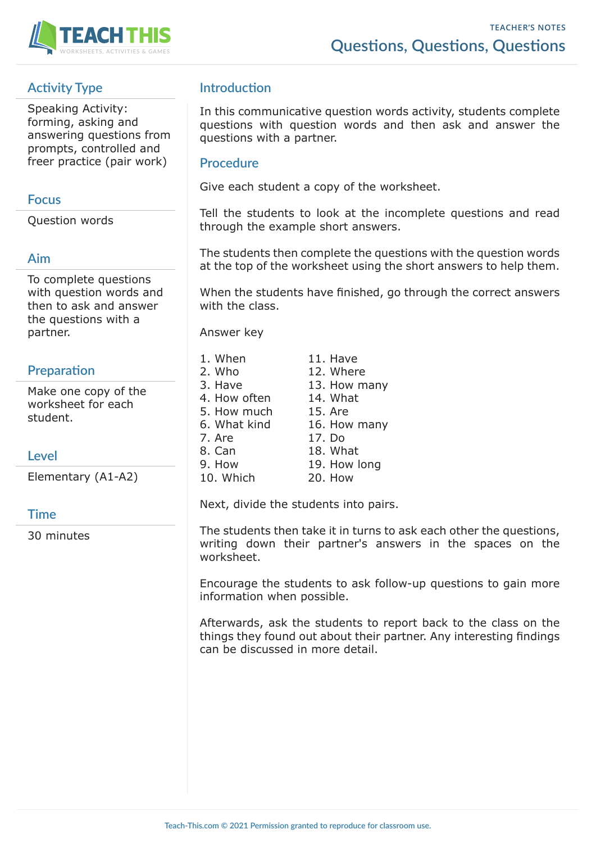

# **Activity Type**

Speaking Activity: forming, asking and answering questions from prompts, controlled and freer practice (pair work)

#### **Focus**

Question words

### **Aim**

To complete questions with question words and then to ask and answer the questions with a partner.

# **Preparation**

Make one copy of the worksheet for each student.

Elementary (A1-A2)

### **Time**

30 minutes

# **Introduction**

In this communicative question words activity, students complete questions with question words and then ask and answer the questions with a partner.

#### **Procedure**

Give each student a copy of the worksheet.

Tell the students to look at the incomplete questions and read through the example short answers.

The students then complete the questions with the question words at the top of the worksheet using the short answers to help them.

When the students have finished, go through the correct answers with the class.

Answer key

| 1. When      | 11. Have     |
|--------------|--------------|
| 2. Who       | 12. Where    |
| 3. Have      | 13. How many |
| 4. How often | 14. What     |
| 5. How much  | 15. Are      |
| 6. What kind | 16. How many |
| 7. Are       | 17. Do       |
| 8. Can       | 18. What     |
| 9. How       | 19. How long |
| 10. Which    | 20. How      |

Next, divide the students into pairs.

The students then take it in turns to ask each other the questions, writing down their partner's answers in the spaces on the worksheet.

Encourage the students to ask follow-up questions to gain more information when possible.

Afterwards, ask the students to report back to the class on the things they found out about their partner. Any interesting findings can be discussed in more detail.